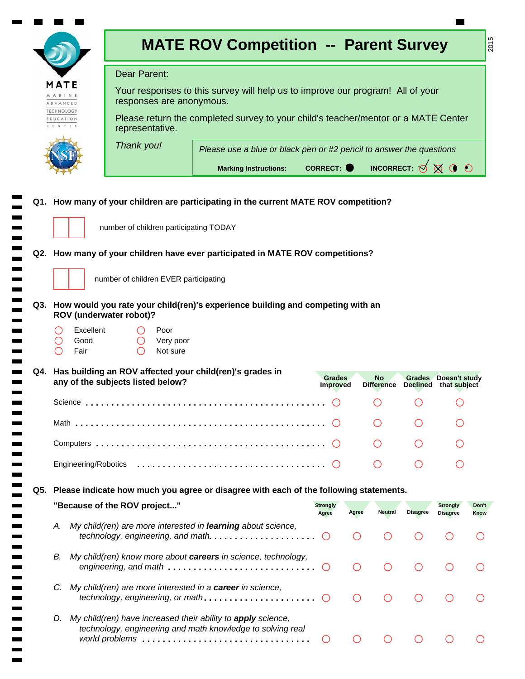|                                                                                                               |                                                                                                   | <b>MATE ROV Competition -- Parent Survey</b>                                                      |                                  |                                             |                                                 |                                               | 2015          |  |  |
|---------------------------------------------------------------------------------------------------------------|---------------------------------------------------------------------------------------------------|---------------------------------------------------------------------------------------------------|----------------------------------|---------------------------------------------|-------------------------------------------------|-----------------------------------------------|---------------|--|--|
| Dear Parent:                                                                                                  |                                                                                                   |                                                                                                   |                                  |                                             |                                                 |                                               |               |  |  |
| MATE<br>A R I N E<br>ADVANCED                                                                                 | responses are anonymous.                                                                          | Your responses to this survey will help us to improve our program! All of your                    |                                  |                                             |                                                 |                                               |               |  |  |
| <b><i>FECHNOLOGY</i></b><br>EDUCATION                                                                         | representative.                                                                                   | Please return the completed survey to your child's teacher/mentor or a MATE Center                |                                  |                                             |                                                 |                                               |               |  |  |
|                                                                                                               | Thank you!                                                                                        | Please use a blue or black pen or #2 pencil to answer the questions                               |                                  |                                             |                                                 |                                               |               |  |  |
|                                                                                                               |                                                                                                   | <b>Marking Instructions:</b>                                                                      | <b>CORRECT:</b>                  |                                             | INCORRECT: $\bigotimes$ $\bigotimes$ $\bigcirc$ |                                               |               |  |  |
|                                                                                                               | number of children participating TODAY                                                            | Q1. How many of your children are participating in the current MATE ROV competition?              |                                  |                                             |                                                 |                                               |               |  |  |
|                                                                                                               |                                                                                                   | Q2. How many of your children have ever participated in MATE ROV competitions?                    |                                  |                                             |                                                 |                                               |               |  |  |
|                                                                                                               | number of children EVER participating                                                             |                                                                                                   |                                  |                                             |                                                 |                                               |               |  |  |
| Q3. How would you rate your child(ren)'s experience building and competing with an<br>ROV (underwater robot)? |                                                                                                   |                                                                                                   |                                  |                                             |                                                 |                                               |               |  |  |
|                                                                                                               | Excellent<br>Poor<br>Good<br>Very poor<br>Fair<br>Not sure                                        |                                                                                                   |                                  |                                             |                                                 |                                               |               |  |  |
|                                                                                                               | Q4. Has building an ROV affected your child(ren)'s grades in<br>any of the subjects listed below? |                                                                                                   | <b>Grades</b><br><b>Improved</b> | No<br><b>Difference</b>                     |                                                 | Grades Doesn't study<br>Declined that subject |               |  |  |
|                                                                                                               |                                                                                                   |                                                                                                   |                                  |                                             |                                                 |                                               |               |  |  |
|                                                                                                               |                                                                                                   |                                                                                                   |                                  |                                             |                                                 |                                               |               |  |  |
|                                                                                                               |                                                                                                   |                                                                                                   |                                  |                                             |                                                 |                                               |               |  |  |
|                                                                                                               |                                                                                                   |                                                                                                   |                                  |                                             |                                                 |                                               |               |  |  |
|                                                                                                               |                                                                                                   | Q5. Please indicate how much you agree or disagree with each of the following statements.         |                                  |                                             |                                                 |                                               |               |  |  |
|                                                                                                               | "Because of the ROV project"                                                                      |                                                                                                   | <b>Strongly</b><br>Agree         | Agree<br><b>Neutral</b>                     | <b>Disagree</b>                                 | <b>Strongly</b><br><b>Disagree</b>            | Don't<br>Know |  |  |
| А.                                                                                                            |                                                                                                   | My child(ren) are more interested in learning about science,<br>technology, engineering, and math | $\left( \right)$                 |                                             |                                                 |                                               |               |  |  |
| В.                                                                                                            |                                                                                                   | My child(ren) know more about careers in science, technology,<br>engineering, and math            | $\bigcirc$                       | $\left(\begin{array}{c} \end{array}\right)$ |                                                 |                                               |               |  |  |
| C.                                                                                                            | My child(ren) are more interested in a career in science,                                         | technology, engineering, or math                                                                  | $\bigcap$                        | $\left(\begin{array}{c} \end{array}\right)$ |                                                 |                                               |               |  |  |
| D.                                                                                                            | My child(ren) have increased their ability to apply science,                                      | technology, engineering and math knowledge to solving real                                        | $\circlearrowright$              | ( )                                         |                                                 |                                               |               |  |  |